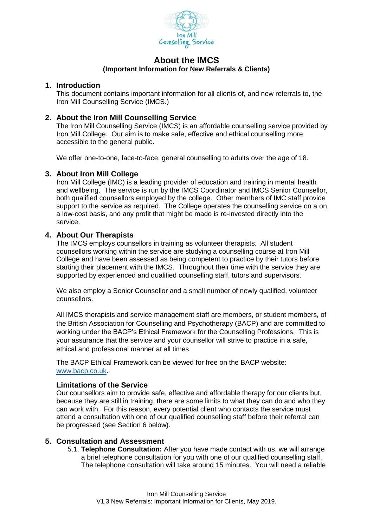

# **About the IMCS (Important Information for New Referrals & Clients)**

### **1. Introduction**

This document contains important information for all clients of, and new referrals to, the Iron Mill Counselling Service (IMCS.)

## **2. About the Iron Mill Counselling Service**

The Iron Mill Counselling Service (IMCS) is an affordable counselling service provided by Iron Mill College. Our aim is to make safe, effective and ethical counselling more accessible to the general public.

We offer one-to-one, face-to-face, general counselling to adults over the age of 18.

### **3. About Iron Mill College**

Iron Mill College (IMC) is a leading provider of education and training in mental health and wellbeing. The service is run by the IMCS Coordinator and IMCS Senior Counsellor, both qualified counsellors employed by the college. Other members of IMC staff provide support to the service as required. The College operates the counselling service on a on a low-cost basis, and any profit that might be made is re-invested directly into the service.

## **4. About Our Therapists**

The IMCS employs counsellors in training as volunteer therapists. All student counsellors working within the service are studying a counselling course at Iron Mill College and have been assessed as being competent to practice by their tutors before starting their placement with the IMCS. Throughout their time with the service they are supported by experienced and qualified counselling staff, tutors and supervisors.

We also employ a Senior Counsellor and a small number of newly qualified, volunteer counsellors.

All IMCS therapists and service management staff are members, or student members, of the British Association for Counselling and Psychotherapy (BACP) and are committed to working under the BACP's Ethical Framework for the Counselling Professions. This is your assurance that the service and your counsellor will strive to practice in a safe, ethical and professional manner at all times.

The BACP Ethical Framework can be viewed for free on the BACP website: [www.bacp.co.uk.](http://www.bacp.co.uk/)

### **Limitations of the Service**

Our counsellors aim to provide safe, effective and affordable therapy for our clients but, because they are still in training, there are some limits to what they can do and who they can work with. For this reason, every potential client who contacts the service must attend a consultation with one of our qualified counselling staff before their referral can be progressed (see Section 6 below).

### **5. Consultation and Assessment**

5.1. **Telephone Consultation:** After you have made contact with us, we will arrange a brief telephone consultation for you with one of our qualified counselling staff. The telephone consultation will take around 15 minutes. You will need a reliable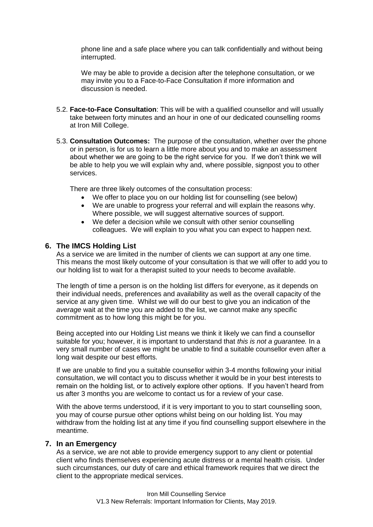phone line and a safe place where you can talk confidentially and without being interrupted.

We may be able to provide a decision after the telephone consultation, or we may invite you to a Face-to-Face Consultation if more information and discussion is needed.

- 5.2. **Face-to-Face Consultation**: This will be with a qualified counsellor and will usually take between forty minutes and an hour in one of our dedicated counselling rooms at Iron Mill College.
- 5.3. **Consultation Outcomes:** The purpose of the consultation, whether over the phone or in person, is for us to learn a little more about you and to make an assessment about whether we are going to be the right service for you. If we don't think we will be able to help you we will explain why and, where possible, signpost you to other services.

There are three likely outcomes of the consultation process:

- We offer to place you on our holding list for counselling (see below)
- We are unable to progress your referral and will explain the reasons why. Where possible, we will suggest alternative sources of support.
- We defer a decision while we consult with other senior counselling colleagues. We will explain to you what you can expect to happen next.

### **6. The IMCS Holding List**

As a service we are limited in the number of clients we can support at any one time. This means the most likely outcome of your consultation is that we will offer to add you to our holding list to wait for a therapist suited to your needs to become available.

The length of time a person is on the holding list differs for everyone, as it depends on their individual needs, preferences and availability as well as the overall capacity of the service at any given time. Whilst we will do our best to give you an indication of the *average* wait at the time you are added to the list, we cannot make any specific commitment as to how long this might be for you.

Being accepted into our Holding List means we think it likely we can find a counsellor suitable for you; however, it is important to understand that *this is not a guarantee.* In a very small number of cases we might be unable to find a suitable counsellor even after a long wait despite our best efforts.

If we are unable to find you a suitable counsellor within 3-4 months following your initial consultation, we will contact you to discuss whether it would be in your best interests to remain on the holding list, or to actively explore other options. If you haven't heard from us after 3 months you are welcome to contact us for a review of your case.

With the above terms understood, if it is very important to you to start counselling soon, you may of course pursue other options whilst being on our holding list. You may withdraw from the holding list at any time if you find counselling support elsewhere in the meantime.

### **7. In an Emergency**

As a service, we are not able to provide emergency support to any client or potential client who finds themselves experiencing acute distress or a mental health crisis. Under such circumstances, our duty of care and ethical framework requires that we direct the client to the appropriate medical services.